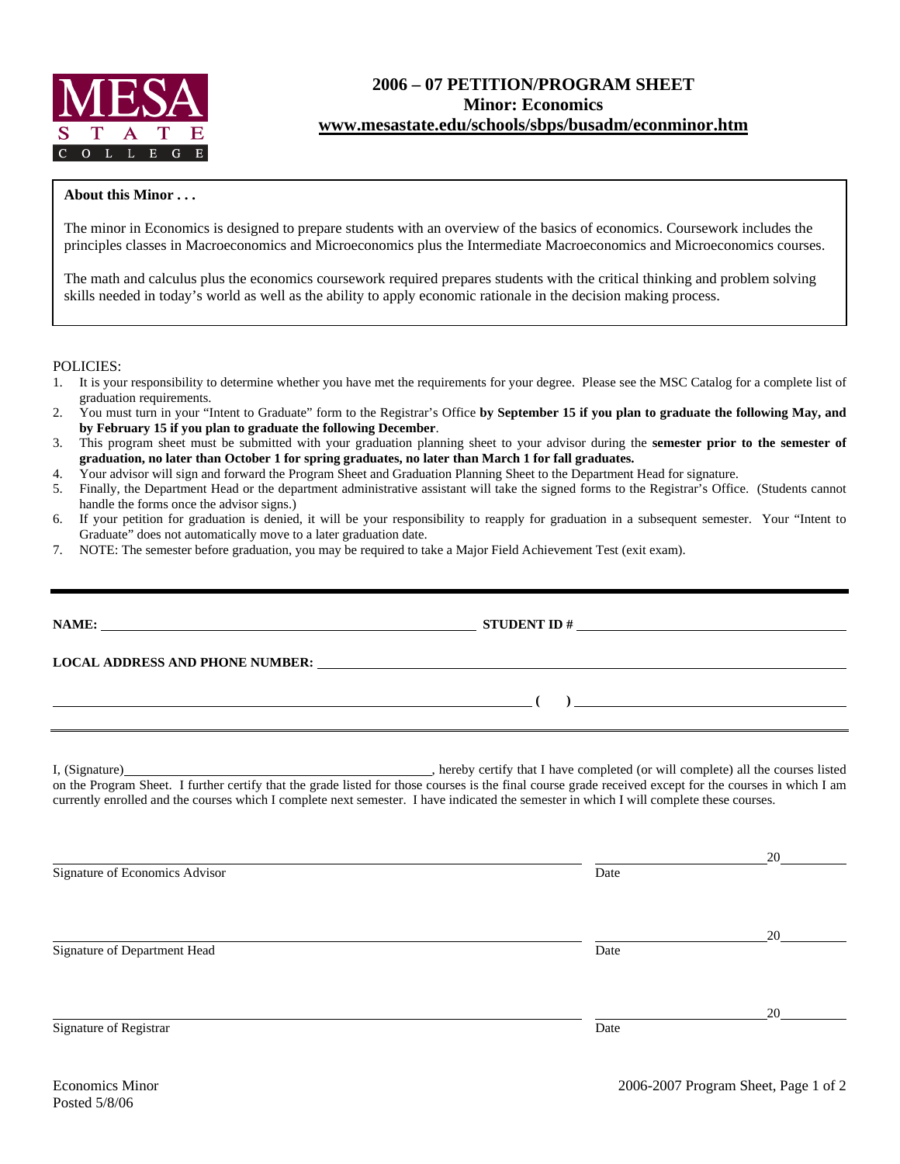

## **2006 – 07 PETITION/PROGRAM SHEET Minor: Economics www.mesastate.edu/schools/sbps/busadm/econminor.htm**

## **About this Minor . . .**

The minor in Economics is designed to prepare students with an overview of the basics of economics. Coursework includes the principles classes in Macroeconomics and Microeconomics plus the Intermediate Macroeconomics and Microeconomics courses.

The math and calculus plus the economics coursework required prepares students with the critical thinking and problem solving skills needed in today's world as well as the ability to apply economic rationale in the decision making process.

POLICIES:

- 1. It is your responsibility to determine whether you have met the requirements for your degree. Please see the MSC Catalog for a complete list of graduation requirements.
- 2. You must turn in your "Intent to Graduate" form to the Registrar's Office **by September 15 if you plan to graduate the following May, and by February 15 if you plan to graduate the following December**.
- 3. This program sheet must be submitted with your graduation planning sheet to your advisor during the **semester prior to the semester of graduation, no later than October 1 for spring graduates, no later than March 1 for fall graduates.**
- 4. Your advisor will sign and forward the Program Sheet and Graduation Planning Sheet to the Department Head for signature.
- 5. Finally, the Department Head or the department administrative assistant will take the signed forms to the Registrar's Office. (Students cannot handle the forms once the advisor signs.)
- 6. If your petition for graduation is denied, it will be your responsibility to reapply for graduation in a subsequent semester. Your "Intent to Graduate" does not automatically move to a later graduation date.
- 7. NOTE: The semester before graduation, you may be required to take a Major Field Achievement Test (exit exam).

|                                                                                                                                                                                                                                | NAME: $\qquad \qquad \qquad \textbf{STUDENT ID} \# \qquad \qquad \textbf{S TUDENT ID}$ |                      |  |  |  |  |
|--------------------------------------------------------------------------------------------------------------------------------------------------------------------------------------------------------------------------------|----------------------------------------------------------------------------------------|----------------------|--|--|--|--|
| LOCAL ADDRESS AND PHONE NUMBER: Under the contract of the contract of the contract of the contract of the contract of the contract of the contract of the contract of the contract of the contract of the contract of the cont |                                                                                        |                      |  |  |  |  |
| <u> произведение (при применении (при применении (при применении (при применении (при применении (при применении (при</u><br>,我们也不会有什么。""我们的人,我们也不会有什么?""我们的人,我们也不会有什么?""我们的人,我们也不会有什么?""我们的人,我们也不会有什么?""我们的人                  |                                                                                        |                      |  |  |  |  |
| currently enrolled and the courses which I complete next semester. I have indicated the semester in which I will complete these courses.                                                                                       |                                                                                        |                      |  |  |  |  |
| Signature of Economics Advisor                                                                                                                                                                                                 | Date                                                                                   |                      |  |  |  |  |
| Signature of Department Head                                                                                                                                                                                                   | Date                                                                                   | $20 \quad \text{or}$ |  |  |  |  |
| Signature of Registrar                                                                                                                                                                                                         | Date                                                                                   |                      |  |  |  |  |